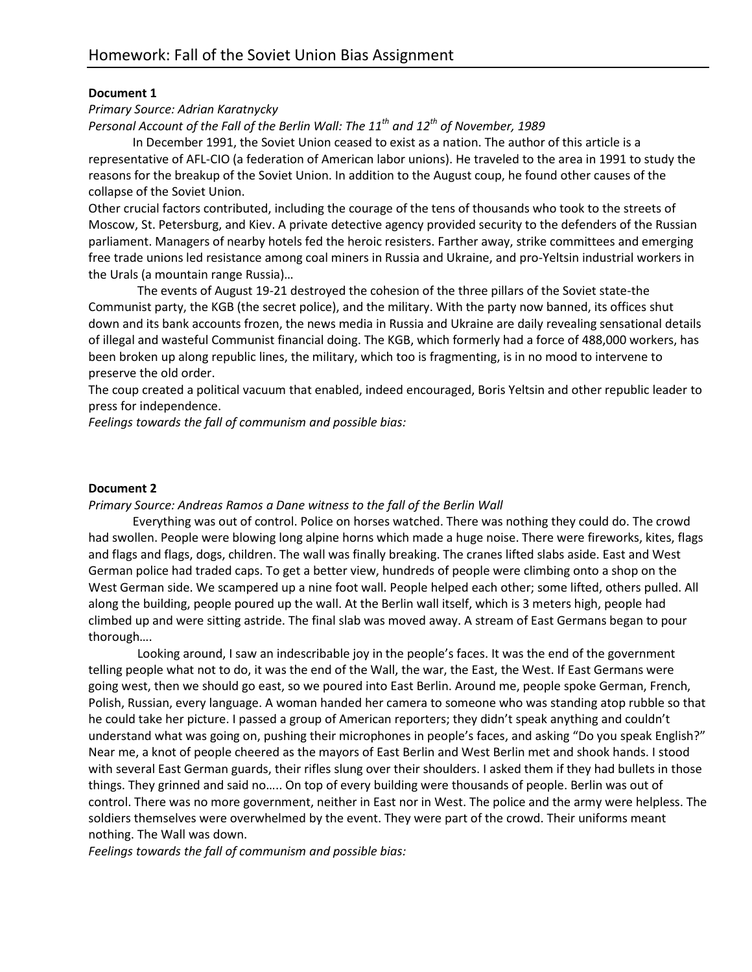## **Document 1**

## *Primary Source: Adrian Karatnycky*

*Personal Account of the Fall of the Berlin Wall: The 11th and 12th of November, 1989*

In December 1991, the Soviet Union ceased to exist as a nation. The author of this article is a representative of AFL-CIO (a federation of American labor unions). He traveled to the area in 1991 to study the reasons for the breakup of the Soviet Union. In addition to the August coup, he found other causes of the collapse of the Soviet Union.

Other crucial factors contributed, including the courage of the tens of thousands who took to the streets of Moscow, St. Petersburg, and Kiev. A private detective agency provided security to the defenders of the Russian parliament. Managers of nearby hotels fed the heroic resisters. Farther away, strike committees and emerging free trade unions led resistance among coal miners in Russia and Ukraine, and pro-Yeltsin industrial workers in the Urals (a mountain range Russia)…

 The events of August 19-21 destroyed the cohesion of the three pillars of the Soviet state-the Communist party, the KGB (the secret police), and the military. With the party now banned, its offices shut down and its bank accounts frozen, the news media in Russia and Ukraine are daily revealing sensational details of illegal and wasteful Communist financial doing. The KGB, which formerly had a force of 488,000 workers, has been broken up along republic lines, the military, which too is fragmenting, is in no mood to intervene to preserve the old order.

The coup created a political vacuum that enabled, indeed encouraged, Boris Yeltsin and other republic leader to press for independence.

*Feelings towards the fall of communism and possible bias:*

## **Document 2**

# *Primary Source: Andreas Ramos a Dane witness to the fall of the Berlin Wall*

Everything was out of control. Police on horses watched. There was nothing they could do. The crowd had swollen. People were blowing long alpine horns which made a huge noise. There were fireworks, kites, flags and flags and flags, dogs, children. The wall was finally breaking. The cranes lifted slabs aside. East and West German police had traded caps. To get a better view, hundreds of people were climbing onto a shop on the West German side. We scampered up a nine foot wall. People helped each other; some lifted, others pulled. All along the building, people poured up the wall. At the Berlin wall itself, which is 3 meters high, people had climbed up and were sitting astride. The final slab was moved away. A stream of East Germans began to pour thorough….

 Looking around, I saw an indescribable joy in the people's faces. It was the end of the government telling people what not to do, it was the end of the Wall, the war, the East, the West. If East Germans were going west, then we should go east, so we poured into East Berlin. Around me, people spoke German, French, Polish, Russian, every language. A woman handed her camera to someone who was standing atop rubble so that he could take her picture. I passed a group of American reporters; they didn't speak anything and couldn't understand what was going on, pushing their microphones in people's faces, and asking "Do you speak English?" Near me, a knot of people cheered as the mayors of East Berlin and West Berlin met and shook hands. I stood with several East German guards, their rifles slung over their shoulders. I asked them if they had bullets in those things. They grinned and said no….. On top of every building were thousands of people. Berlin was out of control. There was no more government, neither in East nor in West. The police and the army were helpless. The soldiers themselves were overwhelmed by the event. They were part of the crowd. Their uniforms meant nothing. The Wall was down.

*Feelings towards the fall of communism and possible bias:*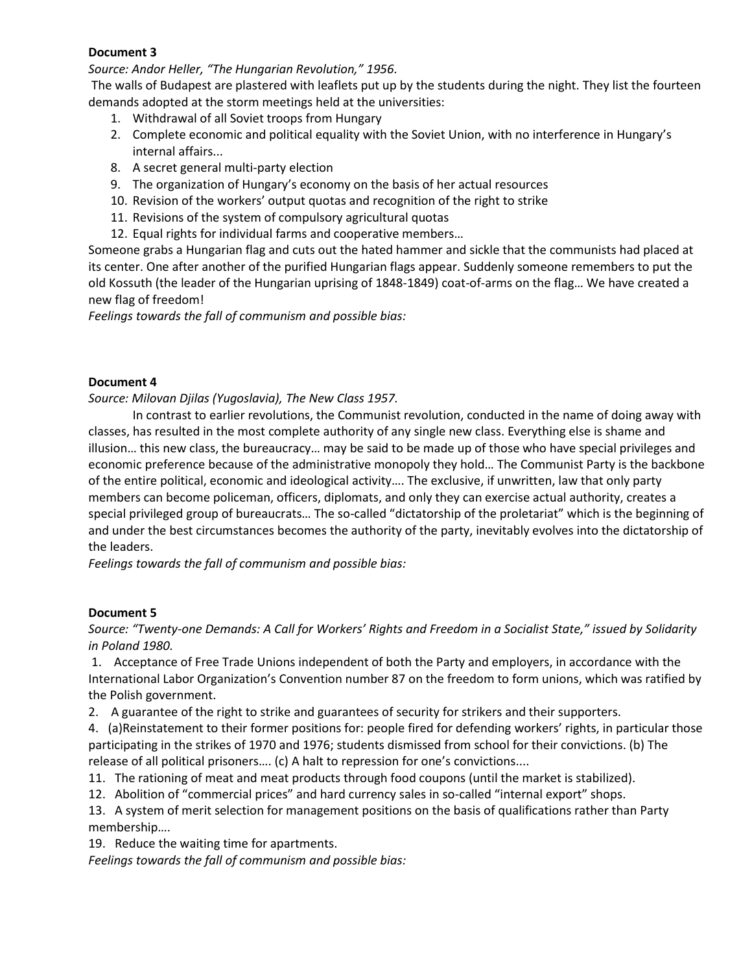## **Document 3**

*Source: Andor Heller, "The Hungarian Revolution," 1956.*

The walls of Budapest are plastered with leaflets put up by the students during the night. They list the fourteen demands adopted at the storm meetings held at the universities:

- 1. Withdrawal of all Soviet troops from Hungary
- 2. Complete economic and political equality with the Soviet Union, with no interference in Hungary's internal affairs...
- 8. A secret general multi-party election
- 9. The organization of Hungary's economy on the basis of her actual resources
- 10. Revision of the workers' output quotas and recognition of the right to strike
- 11. Revisions of the system of compulsory agricultural quotas
- 12. Equal rights for individual farms and cooperative members…

Someone grabs a Hungarian flag and cuts out the hated hammer and sickle that the communists had placed at its center. One after another of the purified Hungarian flags appear. Suddenly someone remembers to put the old Kossuth (the leader of the Hungarian uprising of 1848-1849) coat-of-arms on the flag… We have created a new flag of freedom!

*Feelings towards the fall of communism and possible bias:*

### **Document 4**

*Source: Milovan Djilas (Yugoslavia), The New Class 1957.*

In contrast to earlier revolutions, the Communist revolution, conducted in the name of doing away with classes, has resulted in the most complete authority of any single new class. Everything else is shame and illusion… this new class, the bureaucracy… may be said to be made up of those who have special privileges and economic preference because of the administrative monopoly they hold… The Communist Party is the backbone of the entire political, economic and ideological activity…. The exclusive, if unwritten, law that only party members can become policeman, officers, diplomats, and only they can exercise actual authority, creates a special privileged group of bureaucrats… The so-called "dictatorship of the proletariat" which is the beginning of and under the best circumstances becomes the authority of the party, inevitably evolves into the dictatorship of the leaders.

*Feelings towards the fall of communism and possible bias:*

### **Document 5**

*Source: "Twenty-one Demands: A Call for Workers' Rights and Freedom in a Socialist State," issued by Solidarity in Poland 1980.*

1. Acceptance of Free Trade Unions independent of both the Party and employers, in accordance with the International Labor Organization's Convention number 87 on the freedom to form unions, which was ratified by the Polish government.

- 2. A guarantee of the right to strike and guarantees of security for strikers and their supporters.
- 4. (a)Reinstatement to their former positions for: people fired for defending workers' rights, in particular those participating in the strikes of 1970 and 1976; students dismissed from school for their convictions. (b) The release of all political prisoners…. (c) A halt to repression for one's convictions....
- 11. The rationing of meat and meat products through food coupons (until the market is stabilized).
- 12. Abolition of "commercial prices" and hard currency sales in so-called "internal export" shops.
- 13. A system of merit selection for management positions on the basis of qualifications rather than Party membership….

19. Reduce the waiting time for apartments.

*Feelings towards the fall of communism and possible bias:*